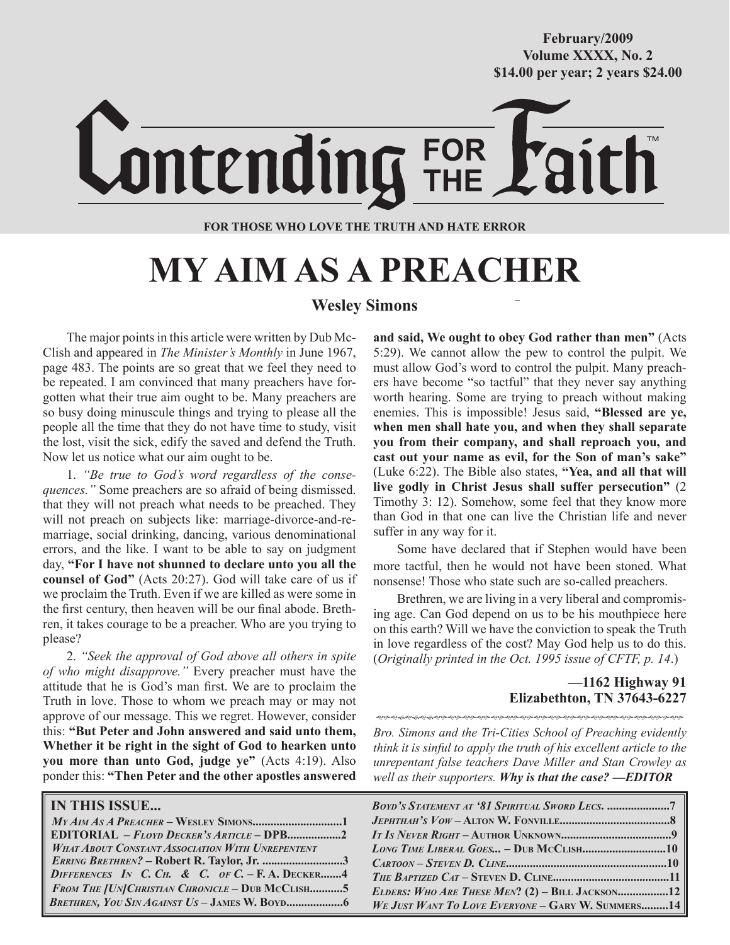**October/2007 Volume XXXX, No. 2 Volume XXXVIII, No. 10 \$14.00 per year; 2 years \$24.00 \$14.00 per year; 2 years \$24.00 February/2009**



#### **FOR THOSE WHO LOVE THE TRUTH AND HATE ERROR**

# **MY AIM AS A PREACHER**

# **Wesley Simons**

The major points in this article were written by Dub Mc-Clish and appeared in *The Minister's Monthly* in June 1967, page 483. The points are so great that we feel they need to be repeated. I am convinced that many preachers have forgotten what their true aim ought to be. Many preachers are so busy doing minuscule things and trying to please all the people all the time that they do not have time to study, visit the lost, visit the sick, edify the saved and defend the Truth. Now let us notice what our aim ought to be.

1. *"Be true to God's word regardless of the consequences."* Some preachers are so afraid of being dismissed. that they will not preach what needs to be preached. They will not preach on subjects like: marriage-divorce-and-remarriage, social drinking, dancing, various denominational errors, and the like. I want to be able to say on judgment day, **"For I have not shunned to declare unto you all the counsel of God"** (Acts 20:27). God will take care of us if we proclaim the Truth. Even if we are killed as were some in the first century, then heaven will be our final abode. Brethren, it takes courage to be a preacher. Who are you trying to please?

2. *"Seek the approval of God above all others in spite of who might disapprove."* Every preacher must have the attitude that he is God's man first. We are to proclaim the Truth in love. Those to whom we preach may or may not approve of our message. This we regret. However, consider this: **"But Peter and John answered and said unto them, Whether it be right in the sight of God to hearken unto you more than unto God, judge ye"** (Acts 4:19). Also ponder this: **"Then Peter and the other apostles answered** 

| <b>IN THIS ISSUE</b>                                    |  |
|---------------------------------------------------------|--|
| $MyAMASA PREACHER - WESLEY SIMONS1$                     |  |
|                                                         |  |
| <b>WHAT ABOUT CONSTANT ASSOCIATION WITH UNREPENTENT</b> |  |
| ERRING BRETHREN? - Robert R. Taylor, Jr. 3              |  |
| DIFFERENCES IN C. CH. & C. OF C. - F. A. DECKER4        |  |
| FROM THE [UN] CHRISTIAN CHRONICLE - DUB MCCLISH5        |  |
| <b>BRETHREN, YOU SIN AGAINST US - JAMES W. BOYD</b>     |  |

**and said, We ought to obey God rather than men"** (Acts 5:29). We cannot allow the pew to control the pulpit. We must allow God's word to control the pulpit. Many preachers have become "so tactful" that they never say anything worth hearing. Some are trying to preach without making enemies. This is impossible! Jesus said, **"Blessed are ye, when men shall hate you, and when they shall separate you from their company, and shall reproach you, and cast out your name as evil, for the Son of man's sake"**  (Luke 6:22). The Bible also states, **"Yea, and all that will live godly in Christ Jesus shall suffer persecution"** (2 Timothy 3: 12). Somehow, some feel that they know more than God in that one can live the Christian life and never suffer in any way for it.

Some have declared that if Stephen would have been more tactful, then he would not have been stoned. What nonsense! Those who state such are so-called preachers.

Brethren, we are living in a very liberal and compromising age. Can God depend on us to be his mouthpiece here on this earth? Will we have the conviction to speak the Truth in love regardless of the cost? May God help us to do this. (*Originally printed in the Oct. 1995 issue of CFTF, p. 14*.)

## **—1162 Highway 91 Elizabethton, TN 37643-6227**

*Bro. Simons and the Tri-Cities School of Preaching evidently think it is sinful to apply the truth of his excellent article to the unrepentant false teachers Dave Miller and Stan Crowley as well as their supporters. Why is that the case? —EDITOR*

| LONG TIME LIBERAL GOES - DUB MCCLISH10            |  |
|---------------------------------------------------|--|
|                                                   |  |
|                                                   |  |
| ELDERS: WHO ARE THESE MEN? $(2)$ – BILL JACKSON12 |  |
| WE JUST WANT TO LOVE EVERYONE - GARY W. SUMMERS14 |  |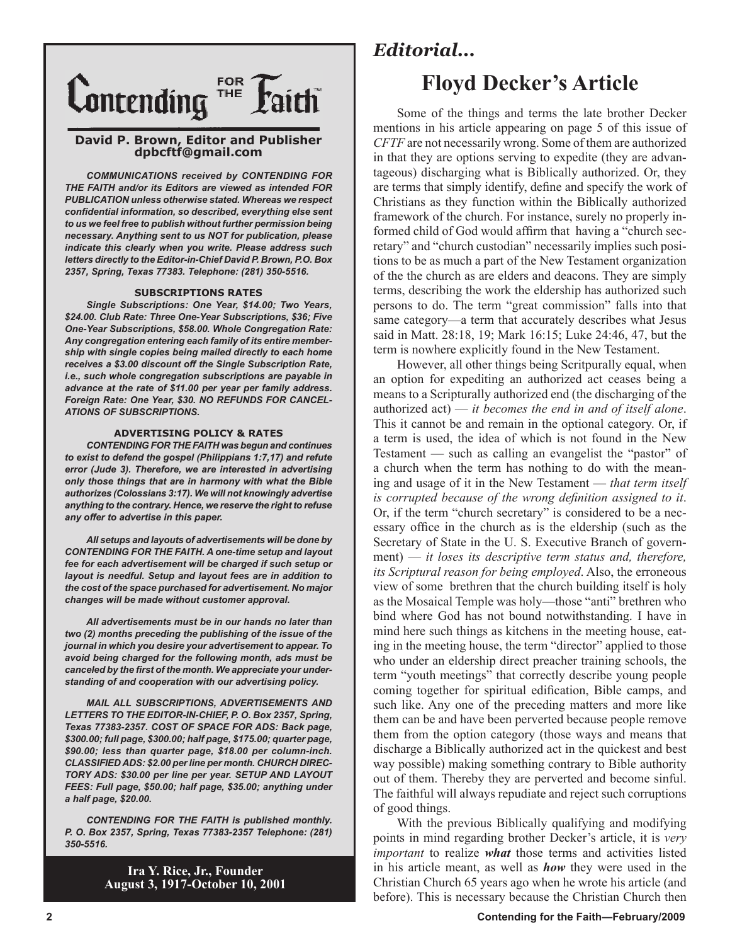

#### **David P. Brown, Editor and Publisher dpbcftf@gmail.com**

*COMMUNICATIONS received by CONTENDING FOR THE FAITH and/or its Editors are viewed as intended FOR PUBLICATION unless otherwise stated. Whereas we respect confidential information, so described, everything else sent to us we feel free to publish without further permission being necessary. Anything sent to us NOT for publication, please indicate this clearly when you write. Please address such letters directly to the Editor-in-Chief David P. Brown, P.O. Box 2357, Spring, Texas 77383. Telephone: (281) 350-5516.*

#### **SUBSCRIPTIONS RATES**

*Single Subscriptions: One Year, \$14.00; Two Years, \$24.00. Club Rate: Three One-Year Subscriptions, \$36; Five One-Year Subscriptions, \$58.00. Whole Congregation Rate: Any congregation entering each family of its entire membership with single copies being mailed directly to each home receives a \$3.00 discount off the Single Subscription Rate, i.e., such whole congregation subscriptions are payable in advance at the rate of \$11.00 per year per family address. Foreign Rate: One Year, \$30. NO REFUNDS FOR CANCEL-ATIONS OF SUBSCRIPTIONS.*

#### **ADVERTISING POLICY & RATES**

*CONTENDING FOR THE FAITH was begun and continues to exist to defend the gospel (Philippians 1:7,17) and refute error (Jude 3). Therefore, we are interested in advertising only those things that are in harmony with what the Bible authorizes (Colossians 3:17). We will not knowingly advertise anything to the contrary. Hence, we reserve the right to refuse any offer to advertise in this paper.*

*All setups and layouts of advertisements will be done by CONTENDING FOR THE FAITH. A one-time setup and layout fee for each advertisement will be charged if such setup or layout is needful. Setup and layout fees are in addition to the cost of the space purchased for advertisement. No major changes will be made without customer approval.*

*All advertisements must be in our hands no later than two (2) months preceding the publishing of the issue of the journal in which you desire your advertisement to appear. To avoid being charged for the following month, ads must be canceled by the first of the month. We appreciate your understanding of and cooperation with our advertising policy.*

*MAIL ALL SUBSCRIPTIONS, ADVERTISEMENTS AND LETTERS TO THE EDITOR-IN-CHIEF, P. O. Box 2357, Spring, Texas 77383-2357. COST OF SPACE FOR ADS: Back page, \$300.00; full page, \$300.00; half page, \$175.00; quarter page, \$90.00; less than quarter page, \$18.00 per column-inch. CLASSIFIED ADS: \$2.00 per line per month. CHURCH DIREC-TORY ADS: \$30.00 per line per year. SETUP AND LAYOUT FEES: Full page, \$50.00; half page, \$35.00; anything under a half page, \$20.00.*

*CONTENDING FOR THE FAITH is published monthly. P. O. Box 2357, Spring, Texas 77383-2357 Telephone: (281) 350-5516.*

> **Ira Y. Rice, Jr., Founder August 3, 1917-October 10, 2001**

# *Editorial...*

# **Floyd Decker's Article**

Some of the things and terms the late brother Decker mentions in his article appearing on page 5 of this issue of *CFTF* are not necessarily wrong. Some of them are authorized in that they are options serving to expedite (they are advantageous) discharging what is Biblically authorized. Or, they are terms that simply identify, define and specify the work of Christians as they function within the Biblically authorized framework of the church. For instance, surely no properly informed child of God would affirm that having a "church secretary" and "church custodian" necessarily implies such positions to be as much a part of the New Testament organization of the the church as are elders and deacons. They are simply terms, describing the work the eldership has authorized such persons to do. The term "great commission" falls into that same category—a term that accurately describes what Jesus said in Matt. 28:18, 19; Mark 16:15; Luke 24:46, 47, but the term is nowhere explicitly found in the New Testament.

However, all other things being Scritpurally equal, when an option for expediting an authorized act ceases being a means to a Scripturally authorized end (the discharging of the authorized act) — *it becomes the end in and of itself alone*. This it cannot be and remain in the optional category. Or, if a term is used, the idea of which is not found in the New Testament — such as calling an evangelist the "pastor" of a church when the term has nothing to do with the meaning and usage of it in the New Testament — *that term itself is corrupted because of the wrong definition assigned to it*. Or, if the term "church secretary" is considered to be a necessary office in the church as is the eldership (such as the Secretary of State in the U. S. Executive Branch of government) — *it loses its descriptive term status and, therefore, its Scriptural reason for being employed*. Also, the erroneous view of some brethren that the church building itself is holy as the Mosaical Temple was holy—those "anti" brethren who bind where God has not bound notwithstanding. I have in mind here such things as kitchens in the meeting house, eating in the meeting house, the term "director" applied to those who under an eldership direct preacher training schools, the term "youth meetings" that correctly describe young people coming together for spiritual edification, Bible camps, and such like. Any one of the preceding matters and more like them can be and have been perverted because people remove them from the option category (those ways and means that discharge a Biblically authorized act in the quickest and best way possible) making something contrary to Bible authority out of them. Thereby they are perverted and become sinful. The faithful will always repudiate and reject such corruptions of good things.

With the previous Biblically qualifying and modifying points in mind regarding brother Decker's article, it is *very important* to realize *what* those terms and activities listed in his article meant, as well as *how* they were used in the Christian Church 65 years ago when he wrote his article (and before). This is necessary because the Christian Church then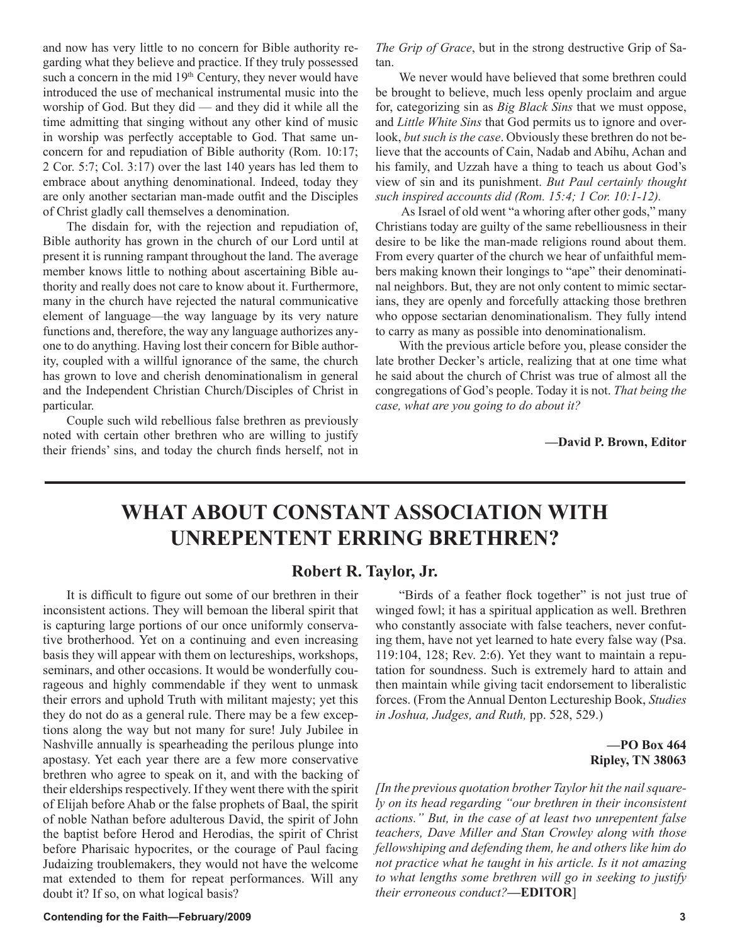and now has very little to no concern for Bible authority regarding what they believe and practice. If they truly possessed such a concern in the mid 19<sup>th</sup> Century, they never would have introduced the use of mechanical instrumental music into the worship of God. But they did — and they did it while all the time admitting that singing without any other kind of music in worship was perfectly acceptable to God. That same unconcern for and repudiation of Bible authority (Rom. 10:17; 2 Cor. 5:7; Col. 3:17) over the last 140 years has led them to embrace about anything denominational. Indeed, today they are only another sectarian man-made outfit and the Disciples of Christ gladly call themselves a denomination.

The disdain for, with the rejection and repudiation of, Bible authority has grown in the church of our Lord until at present it is running rampant throughout the land. The average member knows little to nothing about ascertaining Bible authority and really does not care to know about it. Furthermore, many in the church have rejected the natural communicative element of language—the way language by its very nature functions and, therefore, the way any language authorizes anyone to do anything. Having lost their concern for Bible authority, coupled with a willful ignorance of the same, the church has grown to love and cherish denominationalism in general and the Independent Christian Church/Disciples of Christ in particular.

Couple such wild rebellious false brethren as previously noted with certain other brethren who are willing to justify their friends' sins, and today the church finds herself, not in *The Grip of Grace*, but in the strong destructive Grip of Satan.

We never would have believed that some brethren could be brought to believe, much less openly proclaim and argue for, categorizing sin as *Big Black Sins* that we must oppose, and *Little White Sins* that God permits us to ignore and overlook, *but such is the case*. Obviously these brethren do not believe that the accounts of Cain, Nadab and Abihu, Achan and his family, and Uzzah have a thing to teach us about God's view of sin and its punishment. *But Paul certainly thought such inspired accounts did (Rom. 15:4; 1 Cor. 10:1-12).*

 As Israel of old went "a whoring after other gods," many Christians today are guilty of the same rebelliousness in their desire to be like the man-made religions round about them. From every quarter of the church we hear of unfaithful members making known their longings to "ape" their denominatinal neighbors. But, they are not only content to mimic sectarians, they are openly and forcefully attacking those brethren who oppose sectarian denominationalism. They fully intend to carry as many as possible into denominationalism.

With the previous article before you, please consider the late brother Decker's article, realizing that at one time what he said about the church of Christ was true of almost all the congregations of God's people. Today it is not. *That being the case, what are you going to do about it?*

**—David P. Brown, Editor**

# **WHAT ABOUT CONSTANT ASSOCIATION WITH UNREPENTENT ERRING BRETHREN?**

## **Robert R. Taylor, Jr.**

It is difficult to figure out some of our brethren in their inconsistent actions. They will bemoan the liberal spirit that is capturing large portions of our once uniformly conservative brotherhood. Yet on a continuing and even increasing basis they will appear with them on lectureships, workshops, seminars, and other occasions. It would be wonderfully courageous and highly commendable if they went to unmask their errors and uphold Truth with militant majesty; yet this they do not do as a general rule. There may be a few exceptions along the way but not many for sure! July Jubilee in Nashville annually is spearheading the perilous plunge into apostasy. Yet each year there are a few more conservative brethren who agree to speak on it, and with the backing of their elderships respectively. If they went there with the spirit of Elijah before Ahab or the false prophets of Baal, the spirit of noble Nathan before adulterous David, the spirit of John the baptist before Herod and Herodias, the spirit of Christ before Pharisaic hypocrites, or the courage of Paul facing Judaizing troublemakers, they would not have the welcome mat extended to them for repeat performances. Will any doubt it? If so, on what logical basis?

"Birds of a feather flock together" is not just true of winged fowl; it has a spiritual application as well. Brethren who constantly associate with false teachers, never confuting them, have not yet learned to hate every false way (Psa. 119:104, 128; Rev. 2:6). Yet they want to maintain a reputation for soundness. Such is extremely hard to attain and then maintain while giving tacit endorsement to liberalistic forces. (From the Annual Denton Lectureship Book, *Studies in Joshua, Judges, and Ruth,* pp. 528, 529.)

### **—PO Box 464 Ripley, TN 38063**

*[In the previous quotation brother Taylor hit the nail squarely on its head regarding "our brethren in their inconsistent actions." But, in the case of at least two unrepentent false teachers, Dave Miller and Stan Crowley along with those fellowshiping and defending them, he and others like him do not practice what he taught in his article. Is it not amazing to what lengths some brethren will go in seeking to justify their erroneous conduct?***—EDITOR**]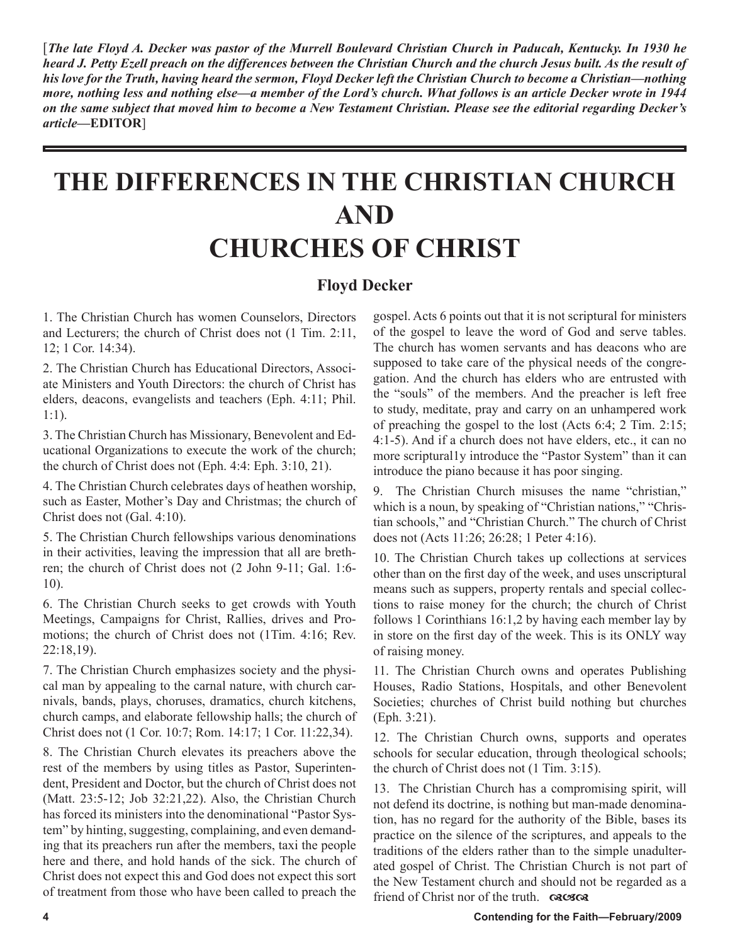[*The late Floyd A. Decker was pastor of the Murrell Boulevard Christian Church in Paducah, Kentucky. In 1930 he heard J. Petty Ezell preach on the differences between the Christian Church and the church Jesus built. As the result of his love for the Truth, having heard the sermon, Floyd Decker left the Christian Church to become a Christian—nothing more, nothing less and nothing else—a member of the Lord's church. What follows is an article Decker wrote in 1944 on the same subject that moved him to become a New Testament Christian. Please see the editorial regarding Decker's article***—EDITOR**]

# **THE DIFFERENCES IN THE CHRISTIAN CHURCH AND CHURCHES OF CHRIST**

# **Floyd Decker**

1. The Christian Church has women Counselors, Directors and Lecturers; the church of Christ does not (1 Tim. 2:11, 12; 1 Cor. 14:34).

2. The Christian Church has Educational Directors, Associate Ministers and Youth Directors: the church of Christ has elders, deacons, evangelists and teachers (Eph. 4:11; Phil. 1:1).

3. The Christian Church has Missionary, Benevolent and Educational Organizations to execute the work of the church; the church of Christ does not (Eph. 4:4: Eph. 3:10, 21).

4. The Christian Church celebrates days of heathen worship, such as Easter, Mother's Day and Christmas; the church of Christ does not (Gal. 4:10).

5. The Christian Church fellowships various denominations in their activities, leaving the impression that all are brethren; the church of Christ does not (2 John 9-11; Gal. 1:6- 10).

6. The Christian Church seeks to get crowds with Youth Meetings, Campaigns for Christ, Rallies, drives and Promotions; the church of Christ does not (1Tim. 4:16; Rev. 22:18,19).

7. The Christian Church emphasizes society and the physical man by appealing to the carnal nature, with church carnivals, bands, plays, choruses, dramatics, church kitchens, church camps, and elaborate fellowship halls; the church of Christ does not (1 Cor. 10:7; Rom. 14:17; 1 Cor. 11:22,34).

8. The Christian Church elevates its preachers above the rest of the members by using titles as Pastor, Superintendent, President and Doctor, but the church of Christ does not (Matt. 23:5-12; Job 32:21,22). Also, the Christian Church has forced its ministers into the denominational "Pastor System" by hinting, suggesting, complaining, and even demanding that its preachers run after the members, taxi the people here and there, and hold hands of the sick. The church of Christ does not expect this and God does not expect this sort of treatment from those who have been called to preach the gospel. Acts 6 points out that it is not scriptural for ministers of the gospel to leave the word of God and serve tables. The church has women servants and has deacons who are supposed to take care of the physical needs of the congregation. And the church has elders who are entrusted with the "souls" of the members. And the preacher is left free to study, meditate, pray and carry on an unhampered work of preaching the gospel to the lost (Acts 6:4; 2 Tim. 2:15; 4:1-5). And if a church does not have elders, etc., it can no more scriptural1y introduce the "Pastor System" than it can introduce the piano because it has poor singing.

9. The Christian Church misuses the name "christian," which is a noun, by speaking of "Christian nations," "Christian schools," and "Christian Church." The church of Christ does not (Acts 11:26; 26:28; 1 Peter 4:16).

10. The Christian Church takes up collections at services other than on the first day of the week, and uses unscriptural means such as suppers, property rentals and special collections to raise money for the church; the church of Christ follows 1 Corinthians 16:1,2 by having each member lay by in store on the first day of the week. This is its ONLY way of raising money.

11. The Christian Church owns and operates Publishing Houses, Radio Stations, Hospitals, and other Benevolent Societies; churches of Christ build nothing but churches (Eph. 3:21).

12. The Christian Church owns, supports and operates schools for secular education, through theological schools; the church of Christ does not (1 Tim. 3:15).

13. The Christian Church has a compromising spirit, will not defend its doctrine, is nothing but man-made denomination, has no regard for the authority of the Bible, bases its practice on the silence of the scriptures, and appeals to the traditions of the elders rather than to the simple unadulterated gospel of Christ. The Christian Church is not part of the New Testament church and should not be regarded as a friend of Christ nor of the truth.  $\cos \theta$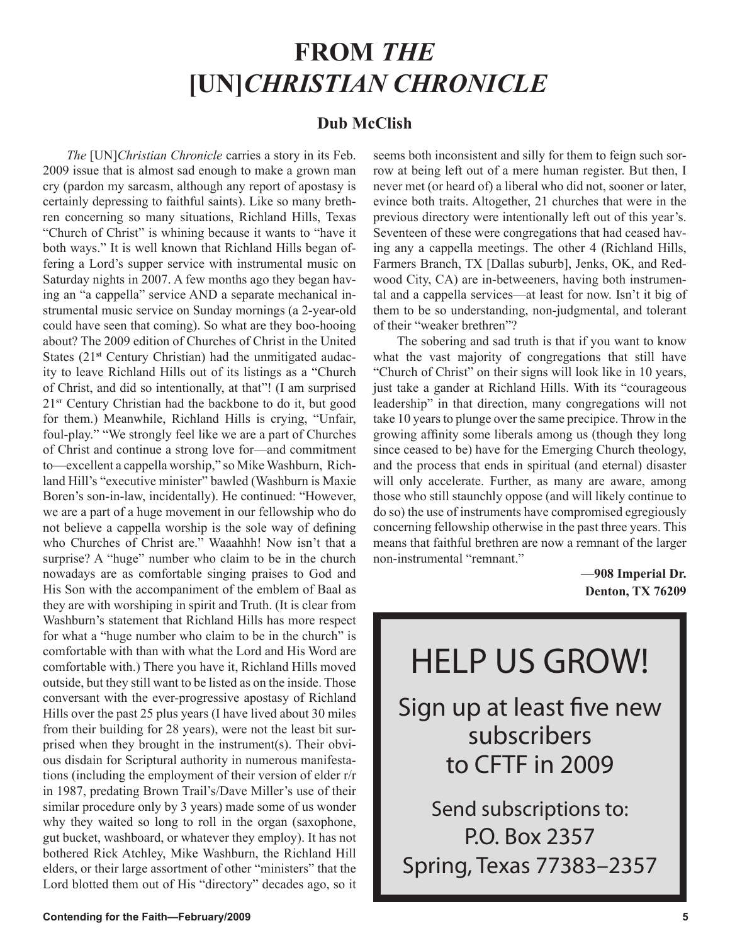# **FROM** *THE*  **[UN]***CHRISTIAN CHRONICLE*

# **Dub McClish**

*The* [UN]*Christian Chronicle* carries a story in its Feb. 2009 issue that is almost sad enough to make a grown man cry (pardon my sarcasm, although any report of apostasy is certainly depressing to faithful saints). Like so many brethren concerning so many situations, Richland Hills, Texas "Church of Christ" is whining because it wants to "have it both ways." It is well known that Richland Hills began offering a Lord's supper service with instrumental music on Saturday nights in 2007. A few months ago they began having an "a cappella" service AND a separate mechanical instrumental music service on Sunday mornings (a 2-year-old could have seen that coming). So what are they boo-hooing about? The 2009 edition of Churches of Christ in the United States (21**st** Century Christian) had the unmitigated audacity to leave Richland Hills out of its listings as a "Church of Christ, and did so intentionally, at that"! (I am surprised 21**ST** Century Christian had the backbone to do it, but good for them.) Meanwhile, Richland Hills is crying, "Unfair, foul-play." "We strongly feel like we are a part of Churches of Christ and continue a strong love for—and commitment to—excellent a cappella worship," so Mike Washburn, Richland Hill's "executive minister" bawled (Washburn is Maxie Boren's son-in-law, incidentally). He continued: "However, we are a part of a huge movement in our fellowship who do not believe a cappella worship is the sole way of defining who Churches of Christ are." Waaahhh! Now isn't that a surprise? A "huge" number who claim to be in the church nowadays are as comfortable singing praises to God and His Son with the accompaniment of the emblem of Baal as they are with worshiping in spirit and Truth. (It is clear from Washburn's statement that Richland Hills has more respect for what a "huge number who claim to be in the church" is comfortable with than with what the Lord and His Word are comfortable with.) There you have it, Richland Hills moved outside, but they still want to be listed as on the inside. Those conversant with the ever-progressive apostasy of Richland Hills over the past 25 plus years (I have lived about 30 miles from their building for 28 years), were not the least bit surprised when they brought in the instrument(s). Their obvious disdain for Scriptural authority in numerous manifestations (including the employment of their version of elder r/r in 1987, predating Brown Trail's/Dave Miller's use of their similar procedure only by 3 years) made some of us wonder why they waited so long to roll in the organ (saxophone, gut bucket, washboard, or whatever they employ). It has not bothered Rick Atchley, Mike Washburn, the Richland Hill elders, or their large assortment of other "ministers" that the Lord blotted them out of His "directory" decades ago, so it seems both inconsistent and silly for them to feign such sorrow at being left out of a mere human register. But then, I never met (or heard of) a liberal who did not, sooner or later, evince both traits. Altogether, 21 churches that were in the previous directory were intentionally left out of this year's. Seventeen of these were congregations that had ceased having any a cappella meetings. The other 4 (Richland Hills, Farmers Branch, TX [Dallas suburb], Jenks, OK, and Redwood City, CA) are in-betweeners, having both instrumental and a cappella services—at least for now. Isn't it big of them to be so understanding, non-judgmental, and tolerant of their "weaker brethren"?

The sobering and sad truth is that if you want to know what the vast majority of congregations that still have "Church of Christ" on their signs will look like in 10 years, just take a gander at Richland Hills. With its "courageous leadership" in that direction, many congregations will not take 10 years to plunge over the same precipice. Throw in the growing affinity some liberals among us (though they long since ceased to be) have for the Emerging Church theology, and the process that ends in spiritual (and eternal) disaster will only accelerate. Further, as many are aware, among those who still staunchly oppose (and will likely continue to do so) the use of instruments have compromised egregiously concerning fellowship otherwise in the past three years. This means that faithful brethren are now a remnant of the larger non-instrumental "remnant."

> **—908 Imperial Dr. Denton, TX 76209**

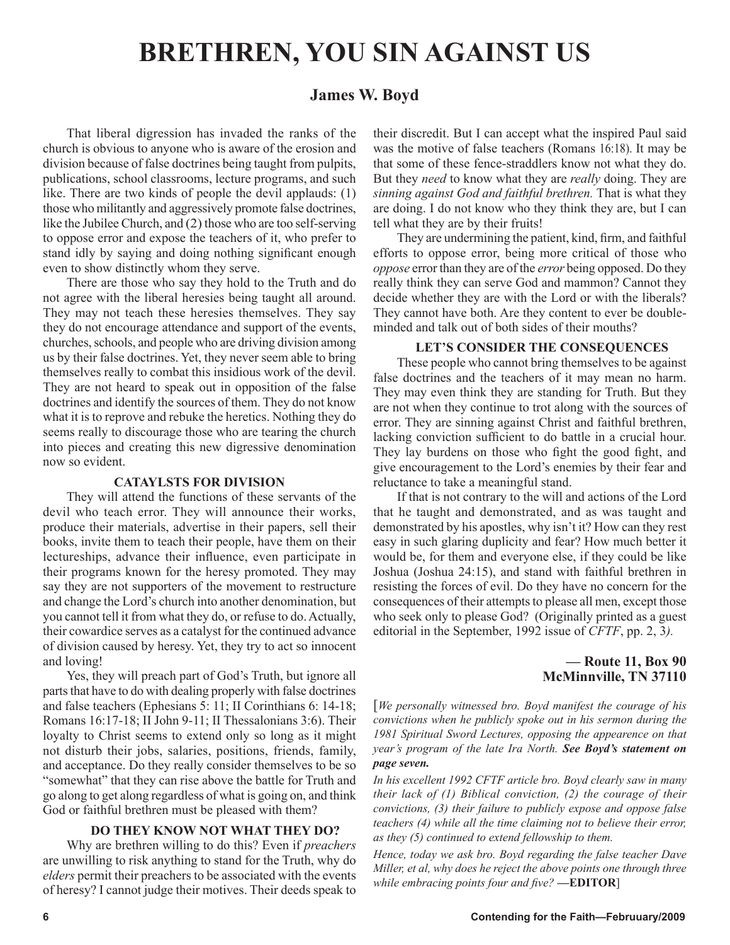# **BRETHREN, YOU SIN AGAINST US**

# **James W. Boyd**

That liberal digression has invaded the ranks of the church is obvious to anyone who is aware of the erosion and division because of false doctrines being taught from pulpits, publications, school classrooms, lecture programs, and such like. There are two kinds of people the devil applauds: (1) those who militantly and aggressively promote false doctrines, like the Jubilee Church, and (2) those who are too self-serving to oppose error and expose the teachers of it, who prefer to stand idly by saying and doing nothing significant enough even to show distinctly whom they serve.

There are those who say they hold to the Truth and do not agree with the liberal heresies being taught all around. They may not teach these heresies themselves. They say they do not encourage attendance and support of the events, churches, schools, and people who are driving division among us by their false doctrines. Yet, they never seem able to bring themselves really to combat this insidious work of the devil. They are not heard to speak out in opposition of the false doctrines and identify the sources of them. They do not know what it is to reprove and rebuke the heretics. Nothing they do seems really to discourage those who are tearing the church into pieces and creating this new digressive denomination now so evident.

#### **CATAYLSTS FOR DIVISION**

They will attend the functions of these servants of the devil who teach error. They will announce their works, produce their materials, advertise in their papers, sell their books, invite them to teach their people, have them on their lectureships, advance their influence, even participate in their programs known for the heresy promoted. They may say they are not supporters of the movement to restructure and change the Lord's church into another denomination, but you cannot tell it from what they do, or refuse to do. Actually, their cowardice serves as a catalyst for the continued advance of division caused by heresy. Yet, they try to act so innocent and loving!

Yes, they will preach part of God's Truth, but ignore all parts that have to do with dealing properly with false doctrines and false teachers (Ephesians 5: 11; II Corinthians 6: 14-18; Romans 16:17-18; II John 9-11; II Thessalonians 3:6). Their loyalty to Christ seems to extend only so long as it might not disturb their jobs, salaries, positions, friends, family, and acceptance. Do they really consider themselves to be so "somewhat" that they can rise above the battle for Truth and go along to get along regardless of what is going on, and think God or faithful brethren must be pleased with them?

## **DO THEY KNOW NOT WHAT THEY DO?**

Why are brethren willing to do this? Even if *preachers*  are unwilling to risk anything to stand for the Truth, why do *elders* permit their preachers to be associated with the events of heresy? I cannot judge their motives. Their deeds speak to their discredit. But I can accept what the inspired Paul said was the motive of false teachers (Romans 16:18). It may be that some of these fence-straddlers know not what they do. But they *need* to know what they are *really* doing. They are *sinning against God and faithful brethren.* That is what they are doing. I do not know who they think they are, but I can tell what they are by their fruits!

They are undermining the patient, kind, firm, and faithful efforts to oppose error, being more critical of those who *oppose* error than they are of the *error* being opposed. Do they really think they can serve God and mammon? Cannot they decide whether they are with the Lord or with the liberals? They cannot have both. Are they content to ever be doubleminded and talk out of both sides of their mouths?

### **LET'S CONSIDER THE CONSEQUENCES**

These people who cannot bring themselves to be against false doctrines and the teachers of it may mean no harm. They may even think they are standing for Truth. But they are not when they continue to trot along with the sources of error. They are sinning against Christ and faithful brethren, lacking conviction sufficient to do battle in a crucial hour. They lay burdens on those who fight the good fight, and give encouragement to the Lord's enemies by their fear and reluctance to take a meaningful stand.

If that is not contrary to the will and actions of the Lord that he taught and demonstrated, and as was taught and demonstrated by his apostles, why isn't it? How can they rest easy in such glaring duplicity and fear? How much better it would be, for them and everyone else, if they could be like Joshua (Joshua 24:15), and stand with faithful brethren in resisting the forces of evil. Do they have no concern for the consequences of their attempts to please all men, except those who seek only to please God? (Originally printed as a guest editorial in the September, 1992 issue of *CFTF*, pp. 2, 3*).*

## **— Route 11, Box 90 McMinnville, TN 37110**

[*We personally witnessed bro. Boyd manifest the courage of his convictions when he publicly spoke out in his sermon during the 1981 Spiritual Sword Lectures, opposing the appearence on that year's program of the late Ira North. See Boyd's statement on page seven.*

*In his excellent 1992 CFTF article bro. Boyd clearly saw in many their lack of (1) Biblical conviction, (2) the courage of their convictions, (3) their failure to publicly expose and oppose false teachers (4) while all the time claiming not to believe their error, as they (5) continued to extend fellowship to them.* 

*Hence, today we ask bro. Boyd regarding the false teacher Dave Miller, et al, why does he reject the above points one through three while embracing points four and five?* **—EDITOR**]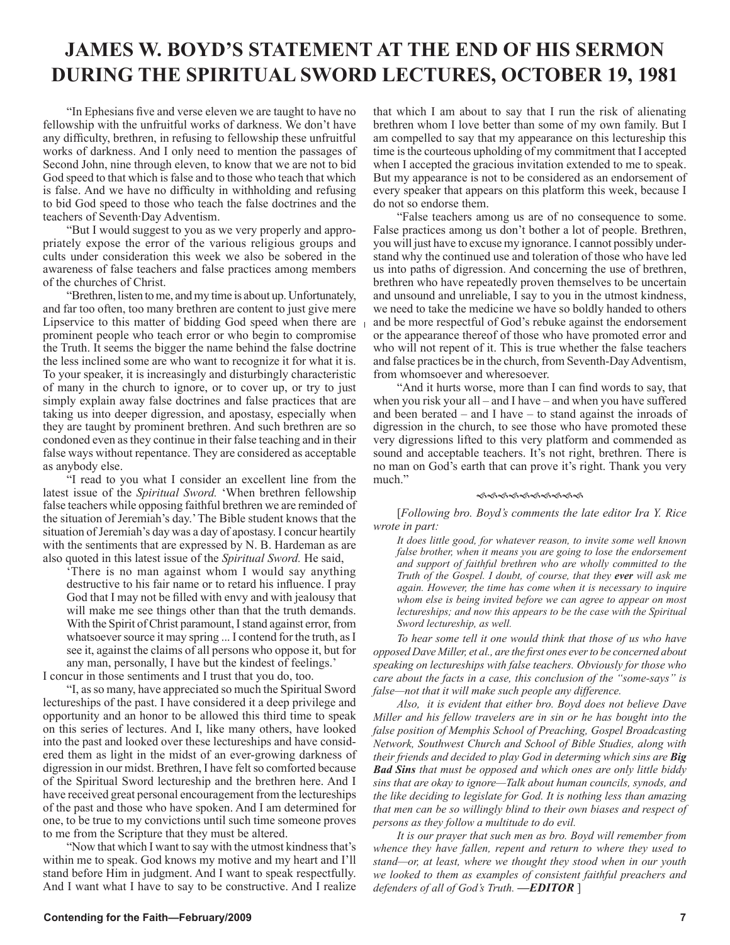# **JAMES W. BOYD'S STATEMENT AT THE END OF HIS SERMON DURING THE SPIRITUAL SWORD LECTURES, OCTOBER 19, 1981**

"In Ephesians five and verse eleven we are taught to have no fellowship with the unfruitful works of darkness. We don't have any difficulty, brethren, in refusing to fellowship these unfruitful works of darkness. And I only need to mention the passages of Second John, nine through eleven, to know that we are not to bid God speed to that which is false and to those who teach that which is false. And we have no difficulty in withholding and refusing to bid God speed to those who teach the false doctrines and the teachers of Seventh·Day Adventism.

"But I would suggest to you as we very properly and appropriately expose the error of the various religious groups and cults under consideration this week we also be sobered in the awareness of false teachers and false practices among members of the churches of Christ.

"Brethren, listen to me, and my time is about up. Unfortunately, and far too often, too many brethren are content to just give mere Lipservice to this matter of bidding God speed when there are  $\frac{1}{1}$ prominent people who teach error or who begin to compromise the Truth. It seems the bigger the name behind the false doctrine the less inclined some are who want to recognize it for what it is. To your speaker, it is increasingly and disturbingly characteristic of many in the church to ignore, or to cover up, or try to just simply explain away false doctrines and false practices that are taking us into deeper digression, and apostasy, especially when they are taught by prominent brethren. And such brethren are so condoned even as they continue in their false teaching and in their false ways without repentance. They are considered as acceptable as anybody else.

"I read to you what I consider an excellent line from the latest issue of the *Spiritual Sword.* 'When brethren fellowship false teachers while opposing faithful brethren we are reminded of the situation of Jeremiah's day.' The Bible student knows that the situation of Jeremiah's day was a day of apostasy. I concur heartily with the sentiments that are expressed by N. B. Hardeman as are also quoted in this latest issue of the *Spiritual Sword.* He said,

'There is no man against whom I would say anything destructive to his fair name or to retard his influence. I pray God that I may not be filled with envy and with jealousy that will make me see things other than that the truth demands. With the Spirit of Christ paramount, I stand against error, from whatsoever source it may spring ... I contend for the truth, as I see it, against the claims of all persons who oppose it, but for any man, personally, I have but the kindest of feelings.' I concur in those sentiments and I trust that you do, too.

"I, as so many, have appreciated so much the Spiritual Sword lectureships of the past. I have considered it a deep privilege and opportunity and an honor to be allowed this third time to speak on this series of lectures. And I, like many others, have looked into the past and looked over these lectureships and have considered them as light in the midst of an ever-growing darkness of digression in our midst. Brethren, I have felt so comforted because of the Spiritual Sword lectureship and the brethren here. And I have received great personal encouragement from the lectureships of the past and those who have spoken. And I am determined for one, to be true to my convictions until such time someone proves to me from the Scripture that they must be altered.

"Now that which I want to say with the utmost kindness that's within me to speak. God knows my motive and my heart and I'll stand before Him in judgment. And I want to speak respectfully. And I want what I have to say to be constructive. And I realize that which I am about to say that I run the risk of alienating brethren whom I love better than some of my own family. But I am compelled to say that my appearance on this lectureship this time is the courteous upholding of my commitment that I accepted when I accepted the gracious invitation extended to me to speak. But my appearance is not to be considered as an endorsement of every speaker that appears on this platform this week, because I do not so endorse them.

"False teachers among us are of no consequence to some. False practices among us don't bother a lot of people. Brethren, you will just have to excuse my ignorance. I cannot possibly understand why the continued use and toleration of those who have led us into paths of digression. And concerning the use of brethren, brethren who have repeatedly proven themselves to be uncertain and unsound and unreliable, I say to you in the utmost kindness, we need to take the medicine we have so boldly handed to others and be more respectful of God's rebuke against the endorsement or the appearance thereof of those who have promoted error and who will not repent of it. This is true whether the false teachers and false practices be in the church, from Seventh-Day Adventism, from whomsoever and wheresoever.

"And it hurts worse, more than I can find words to say, that when you risk your all – and I have – and when you have suffered and been berated – and I have – to stand against the inroads of digression in the church, to see those who have promoted these very digressions lifted to this very platform and commended as sound and acceptable teachers. It's not right, brethren. There is no man on God's earth that can prove it's right. Thank you very much."

#### ଈଈଈଈଈଈଈ*ଈ*

[*Following bro. Boyd's comments the late editor Ira Y. Rice wrote in part:* 

*It does little good, for whatever reason, to invite some well known false brother, when it means you are going to lose the endorsement*  and support of faithful brethren who are wholly committed to the *Truth of the Gospel. I doubt, of course, that they ever will ask me again. However, the time has come when it is necessary to inquire whom else is being invited before we can agree to appear on most lectureships; and now this appears to be the case with the Spiritual Sword lectureship, as well.*

*To hear some tell it one would think that those of us who have opposed Dave Miller, et al., are the first ones ever to be concerned about speaking on lectureships with false teachers. Obviously for those who care about the facts in a case, this conclusion of the "some-says" is false—not that it will make such people any difference.* 

*Also, it is evident that either bro. Boyd does not believe Dave Miller and his fellow travelers are in sin or he has bought into the false position of Memphis School of Preaching, Gospel Broadcasting Network, Southwest Church and School of Bible Studies, along with their friends and decided to play God in determing which sins are Big Bad Sins that must be opposed and which ones are only little biddy sins that are okay to ignore—Talk about human councils, synods, and the like deciding to legislate for God. It is nothing less than amazing that men can be so willingly blind to their own biases and respect of persons as they follow a multitude to do evil.* 

*It is our prayer that such men as bro. Boyd will remember from whence they have fallen, repent and return to where they used to stand—or, at least, where we thought they stood when in our youth we looked to them as examples of consistent faithful preachers and defenders of all of God's Truth. —EDITOR* ]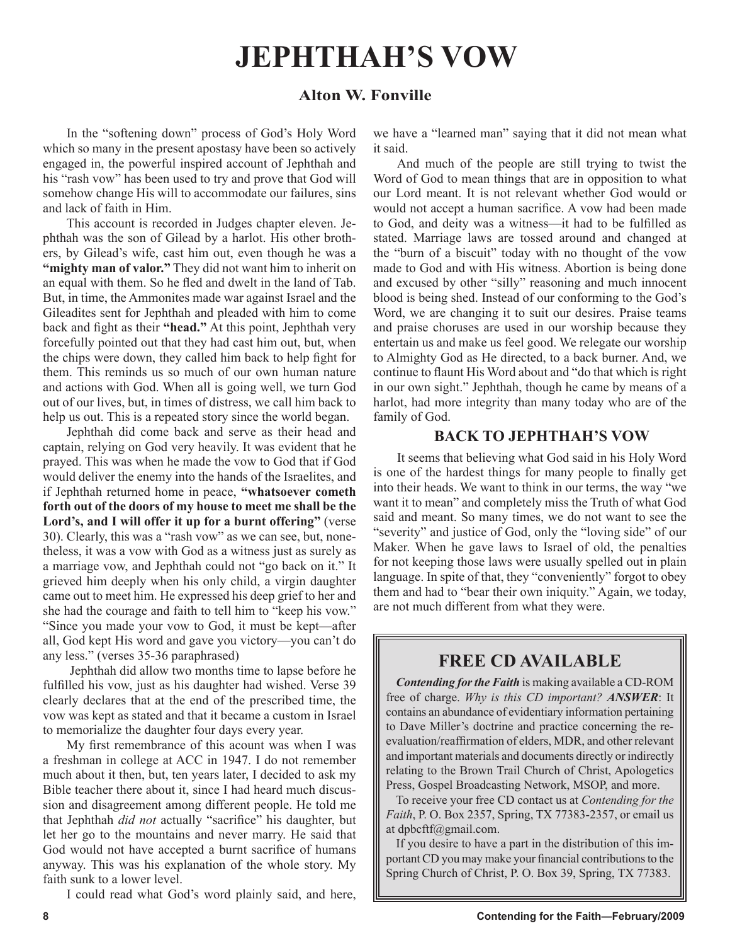# **JEPHTHAH'S VOW**

# **Alton W. Fonville**

In the "softening down" process of God's Holy Word which so many in the present apostasy have been so actively engaged in, the powerful inspired account of Jephthah and his "rash vow" has been used to try and prove that God will somehow change His will to accommodate our failures, sins and lack of faith in Him.

This account is recorded in Judges chapter eleven. Jephthah was the son of Gilead by a harlot. His other brothers, by Gilead's wife, cast him out, even though he was a **"mighty man of valor."** They did not want him to inherit on an equal with them. So he fled and dwelt in the land of Tab. But, in time, the Ammonites made war against Israel and the Gileadites sent for Jephthah and pleaded with him to come back and fight as their **"head."** At this point, Jephthah very forcefully pointed out that they had cast him out, but, when the chips were down, they called him back to help fight for them. This reminds us so much of our own human nature and actions with God. When all is going well, we turn God out of our lives, but, in times of distress, we call him back to help us out. This is a repeated story since the world began.

Jephthah did come back and serve as their head and captain, relying on God very heavily. It was evident that he prayed. This was when he made the vow to God that if God would deliver the enemy into the hands of the Israelites, and if Jephthah returned home in peace, **"whatsoever cometh forth out of the doors of my house to meet me shall be the Lord's, and I will offer it up for a burnt offering"** (verse 30). Clearly, this was a "rash vow" as we can see, but, nonetheless, it was a vow with God as a witness just as surely as a marriage vow, and Jephthah could not "go back on it." It grieved him deeply when his only child, a virgin daughter came out to meet him. He expressed his deep grief to her and she had the courage and faith to tell him to "keep his vow." "Since you made your vow to God, it must be kept—after all, God kept His word and gave you victory—you can't do any less." (verses 35-36 paraphrased)

 Jephthah did allow two months time to lapse before he fulfilled his vow, just as his daughter had wished. Verse 39 clearly declares that at the end of the prescribed time, the vow was kept as stated and that it became a custom in Israel to memorialize the daughter four days every year.

My first remembrance of this acount was when I was a freshman in college at ACC in 1947. I do not remember much about it then, but, ten years later, I decided to ask my Bible teacher there about it, since I had heard much discussion and disagreement among different people. He told me that Jephthah *did not* actually "sacrifice" his daughter, but let her go to the mountains and never marry. He said that God would not have accepted a burnt sacrifice of humans anyway. This was his explanation of the whole story. My faith sunk to a lower level.

I could read what God's word plainly said, and here,

we have a "learned man" saying that it did not mean what it said.

And much of the people are still trying to twist the Word of God to mean things that are in opposition to what our Lord meant. It is not relevant whether God would or would not accept a human sacrifice. A vow had been made to God, and deity was a witness—it had to be fulfilled as stated. Marriage laws are tossed around and changed at the "burn of a biscuit" today with no thought of the vow made to God and with His witness. Abortion is being done and excused by other "silly" reasoning and much innocent blood is being shed. Instead of our conforming to the God's Word, we are changing it to suit our desires. Praise teams and praise choruses are used in our worship because they entertain us and make us feel good. We relegate our worship to Almighty God as He directed, to a back burner. And, we continue to flaunt His Word about and "do that which is right in our own sight." Jephthah, though he came by means of a harlot, had more integrity than many today who are of the family of God.

# **BACK TO JEPHTHAH'S VOW**

It seems that believing what God said in his Holy Word is one of the hardest things for many people to finally get into their heads. We want to think in our terms, the way "we want it to mean" and completely miss the Truth of what God said and meant. So many times, we do not want to see the "severity" and justice of God, only the "loving side" of our Maker. When he gave laws to Israel of old, the penalties for not keeping those laws were usually spelled out in plain language. In spite of that, they "conveniently" forgot to obey them and had to "bear their own iniquity." Again, we today, are not much different from what they were.

# **FREE CD AVAILABLE**

*Contending for the Faith* is making available a CD-ROM free of charge. *Why is this CD important? ANSWER*: It contains an abundance of evidentiary information pertaining to Dave Miller's doctrine and practice concerning the reevaluation/reaffirmation of elders, MDR, and other relevant and important materials and documents directly or indirectly relating to the Brown Trail Church of Christ, Apologetics Press, Gospel Broadcasting Network, MSOP, and more.

To receive your free CD contact us at *Contending for the Faith*, P. O. Box 2357, Spring, TX 77383-2357, or email us at dpbcftf@gmail.com.

If you desire to have a part in the distribution of this important CD you may make your financial contributions to the Spring Church of Christ, P. O. Box 39, Spring, TX 77383.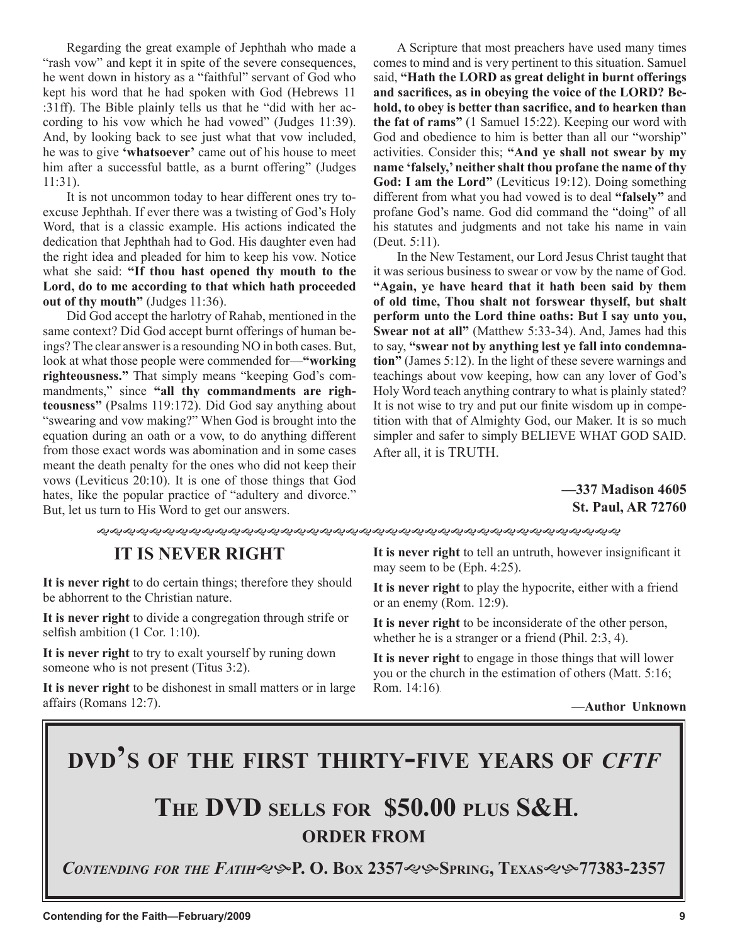Regarding the great example of Jephthah who made a "rash vow" and kept it in spite of the severe consequences, he went down in history as a "faithful" servant of God who kept his word that he had spoken with God (Hebrews 11 :31ff). The Bible plainly tells us that he "did with her according to his vow which he had vowed" (Judges 11:39). And, by looking back to see just what that vow included, he was to give **'whatsoever'** came out of his house to meet him after a successful battle, as a burnt offering" (Judges 11:31).

It is not uncommon today to hear different ones try toexcuse Jephthah. If ever there was a twisting of God's Holy Word, that is a classic example. His actions indicated the dedication that Jephthah had to God. His daughter even had the right idea and pleaded for him to keep his vow. Notice what she said: **"If thou hast opened thy mouth to the Lord, do to me according to that which hath proceeded out of thy mouth"** (Judges 11:36).

Did God accept the harlotry of Rahab, mentioned in the same context? Did God accept burnt offerings of human beings? The clear answer is a resounding NO in both cases. But, look at what those people were commended for—**"working righteousness."** That simply means "keeping God's commandments," since **"all thy commandments are righteousness"** (Psalms 119:172). Did God say anything about "swearing and vow making?" When God is brought into the equation during an oath or a vow, to do anything different from those exact words was abomination and in some cases meant the death penalty for the ones who did not keep their vows (Leviticus 20:10). It is one of those things that God hates, like the popular practice of "adultery and divorce." But, let us turn to His Word to get our answers.

A Scripture that most preachers have used many times comes to mind and is very pertinent to this situation. Samuel said, **"Hath the LORD as great delight in burnt offerings and sacrifices, as in obeying the voice of the LORD? Behold, to obey is better than sacrifice, and to hearken than the fat of rams"** (1 Samuel 15:22). Keeping our word with God and obedience to him is better than all our "worship" activities. Consider this; **"And ye shall not swear by my name 'falsely,' neither shalt thou profane the name of thy God: I am the Lord"** (Leviticus 19:12). Doing something different from what you had vowed is to deal **"falsely"** and profane God's name. God did command the "doing" of all his statutes and judgments and not take his name in vain (Deut. 5:11).

In the New Testament, our Lord Jesus Christ taught that it was serious business to swear or vow by the name of God. **"Again, ye have heard that it hath been said by them of old time, Thou shalt not forswear thyself, but shalt perform unto the Lord thine oaths: But I say unto you, Swear not at all"** (Matthew 5:33-34). And, James had this to say, **"swear not by anything lest ye fall into condemnation"** (James 5:12). In the light of these severe warnings and teachings about vow keeping, how can any lover of God's Holy Word teach anything contrary to what is plainly stated? It is not wise to try and put our finite wisdom up in competition with that of Almighty God, our Maker. It is so much simpler and safer to simply BELIEVE WHAT GOD SAID. After all, it is TRUTH.

## **—337 Madison 4605 St. Paul, AR 72760**

# **IT IS NEVER RIGHT**

**It is never right** to do certain things; therefore they should be abhorrent to the Christian nature.

**It is never right** to divide a congregation through strife or selfish ambition (1 Cor. 1:10).

**It is never right** to try to exalt yourself by runing down someone who is not present (Titus 3:2).

**It is never right** to be dishonest in small matters or in large affairs (Romans 12:7).

**It is never right** to tell an untruth, however insignificant it may seem to be (Eph. 4:25).

**It is never right** to play the hypocrite, either with a friend or an enemy (Rom. 12:9).

**It is never right** to be inconsiderate of the other person, whether he is a stranger or a friend (Phil. 2:3, 4).

**It is never right** to engage in those things that will lower you or the church in the estimation of others (Matt. 5:16; Rom. 14:16).

**—Author Unknown**

# **DVD'S OF THE FIRST THIRTY-FIVE YEARS OF** *CFTF*

# **THE DVD SELLS FOR \$50.00 PLUS S&H. ORDER FROM**

*CONTENDING FOR THE FATIH***P. O. BOX 2357SPRING, TEXAS77383-2357**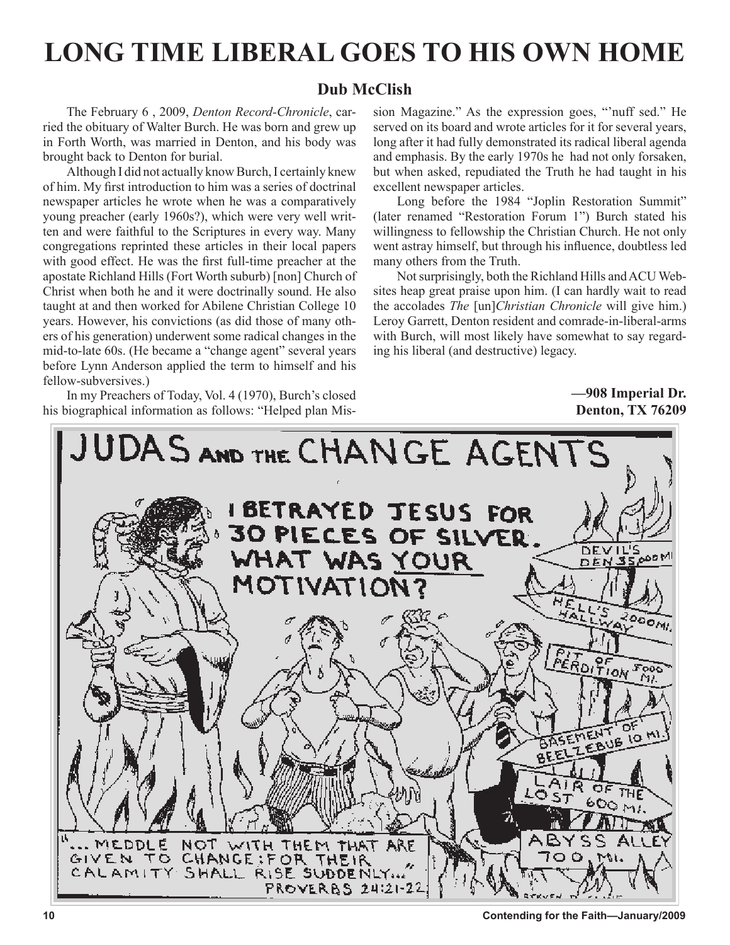# **LONG TIME LIBERAL GOES TO HIS OWN HOME**

# **Dub McClish**

The February 6 , 2009, *Denton Record-Chronicle*, carried the obituary of Walter Burch. He was born and grew up in Forth Worth, was married in Denton, and his body was brought back to Denton for burial.

Although I did not actually know Burch, I certainly knew of him. My first introduction to him was a series of doctrinal newspaper articles he wrote when he was a comparatively young preacher (early 1960s?), which were very well written and were faithful to the Scriptures in every way. Many congregations reprinted these articles in their local papers with good effect. He was the first full-time preacher at the apostate Richland Hills (Fort Worth suburb) [non] Church of Christ when both he and it were doctrinally sound. He also taught at and then worked for Abilene Christian College 10 years. However, his convictions (as did those of many others of his generation) underwent some radical changes in the mid-to-late 60s. (He became a "change agent" several years before Lynn Anderson applied the term to himself and his fellow-subversives.)

In my Preachers of Today, Vol. 4 (1970), Burch's closed his biographical information as follows: "Helped plan Mission Magazine." As the expression goes, "'nuff sed." He served on its board and wrote articles for it for several years, long after it had fully demonstrated its radical liberal agenda and emphasis. By the early 1970s he had not only forsaken, but when asked, repudiated the Truth he had taught in his excellent newspaper articles.

Long before the 1984 "Joplin Restoration Summit" (later renamed "Restoration Forum 1") Burch stated his willingness to fellowship the Christian Church. He not only went astray himself, but through his influence, doubtless led many others from the Truth.

Not surprisingly, both the Richland Hills and ACU Websites heap great praise upon him. (I can hardly wait to read the accolades *The* [un]*Christian Chronicle* will give him.) Leroy Garrett, Denton resident and comrade-in-liberal-arms with Burch, will most likely have somewhat to say regarding his liberal (and destructive) legacy.

## **—908 Imperial Dr. Denton, TX 76209**

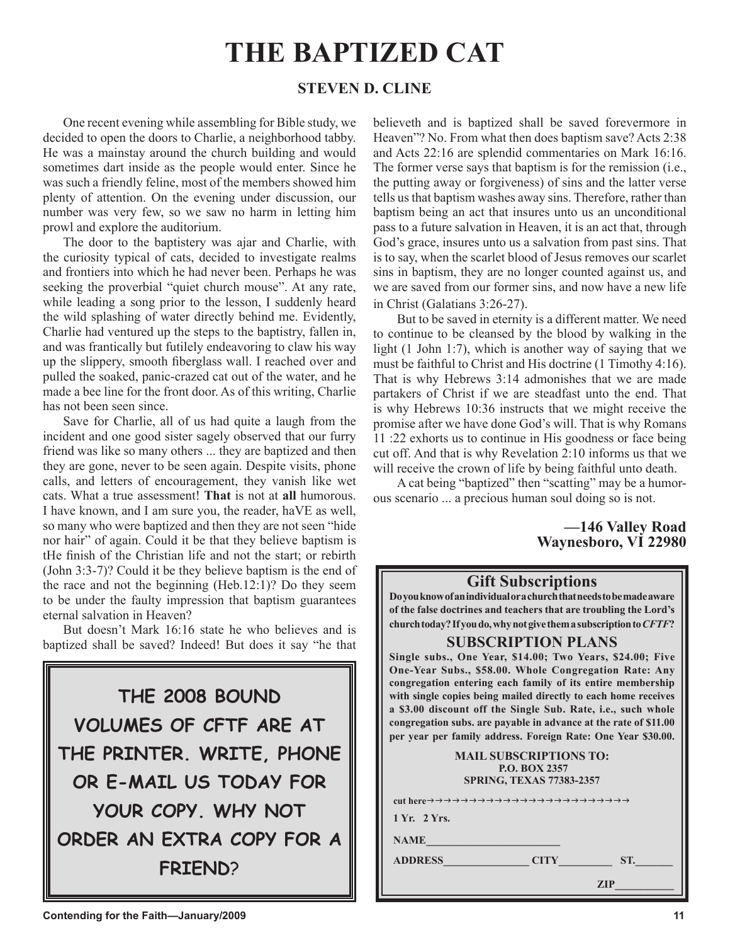# **THE BAPTIZED CAT**

# **STEVEN D. CLINE**

One recent evening while assembling for Bible study, we decided to open the doors to Charlie, a neighborhood tabby. He was a mainstay around the church building and would sometimes dart inside as the people would enter. Since he was such a friendly feline, most of the members showed him plenty of attention. On the evening under discussion, our number was very few, so we saw no harm in letting him prowl and explore the auditorium.

The door to the baptistery was ajar and Charlie, with the curiosity typical of cats, decided to investigate realms and frontiers into which he had never been. Perhaps he was seeking the proverbial "quiet church mouse". At any rate, while leading a song prior to the lesson, I suddenly heard the wild splashing of water directly behind me. Evidently, Charlie had ventured up the steps to the baptistry, fallen in, and was frantically but futilely endeavoring to claw his way up the slippery, smooth fiberglass wall. I reached over and pulled the soaked, panic-crazed cat out of the water, and he made a bee line for the front door. As of this writing, Charlie has not been seen since.

Save for Charlie, all of us had quite a laugh from the incident and one good sister sagely observed that our furry friend was like so many others ... they are baptized and then they are gone, never to be seen again. Despite visits, phone calls, and letters of encouragement, they vanish like wet cats. What a true assessment! **That** is not at **all** humorous. I have known, and I am sure you, the reader, haVE as well, so many who were baptized and then they are not seen "hide nor hair" of again. Could it be that they believe baptism is tHe finish of the Christian life and not the start; or rebirth (John 3:3-7)? Could it be they believe baptism is the end of the race and not the beginning (Heb.12:1)? Do they seem to be under the faulty impression that baptism guarantees eternal salvation in Heaven?

But doesn't Mark 16:16 state he who believes and is baptized shall be saved? Indeed! But does it say "he that



believeth and is baptized shall be saved forevermore in Heaven"? No. From what then does baptism save? Acts 2:38 and Acts 22:16 are splendid commentaries on Mark 16:16. The former verse says that baptism is for the remission (i.e., the putting away or forgiveness) of sins and the latter verse tells us that baptism washes away sins. Therefore, rather than baptism being an act that insures unto us an unconditional pass to a future salvation in Heaven, it is an act that, through God's grace, insures unto us a salvation from past sins. That is to say, when the scarlet blood of Jesus removes our scarlet sins in baptism, they are no longer counted against us, and we are saved from our former sins, and now have a new life in Christ (Galatians 3:26-27).

But to be saved in eternity is a different matter. We need to continue to be cleansed by the blood by walking in the light (1 John 1:7), which is another way of saying that we must be faithful to Christ and His doctrine (1 Timothy 4:16). That is why Hebrews 3:14 admonishes that we are made partakers of Christ if we are steadfast unto the end. That is why Hebrews 10:36 instructs that we might receive the promise after we have done God's will. That is why Romans 11 :22 exhorts us to continue in His goodness or face being cut off. And that is why Revelation 2:10 informs us that we will receive the crown of life by being faithful unto death.

A cat being "baptized" then "scatting" may be a humorous scenario ... a precious human soul doing so is not.

## **—146 Valley Road Waynesboro, VI 22980**

## **Gift Subscriptions**

**Do you know of an individual or a church that needs to be made aware of the false doctrines and teachers that are troubling the Lord's church today? If you do, why not give them a subscription to** *CFTF***?**

### **SUBSCRIPTION PLANS**

**Single subs., One Year, \$14.00; Two Years, \$24.00; Five One-Year Subs., \$58.00. Whole Congregation Rate: Any congregation entering each family of its entire membership with single copies being mailed directly to each home receives a \$3.00 discount off the Single Sub. Rate, i.e., such whole congregation subs. are payable in advance at the rate of \$11.00 per year per family address. Foreign Rate: One Year \$30.00.**

| <b>MAIL SUBSCRIPTIONS TO:</b><br><b>P.O. BOX 2357</b><br><b>SPRING, TEXAS 77383-2357</b> |  |
|------------------------------------------------------------------------------------------|--|
|                                                                                          |  |
| 1 Yr. 2 Yrs.                                                                             |  |
| <b>NAME</b>                                                                              |  |
| <b>ADDRESS Example 19</b><br><b>CITY</b><br>ST.                                          |  |
| ZIP                                                                                      |  |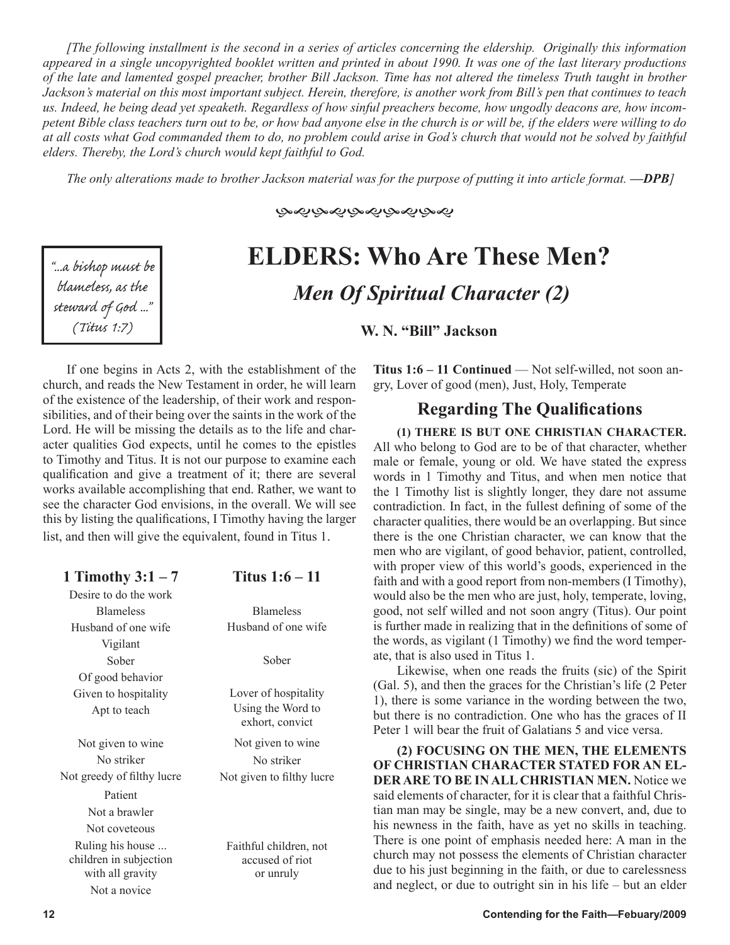*[The following installment is the second in a series of articles concerning the eldership. Originally this information appeared in a single uncopyrighted booklet written and printed in about 1990. It was one of the last literary productions of the late and lamented gospel preacher, brother Bill Jackson. Time has not altered the timeless Truth taught in brother Jackson's material on this most important subject. Herein, therefore, is another work from Bill's pen that continues to teach us. Indeed, he being dead yet speaketh. Regardless of how sinful preachers become, how ungodly deacons are, how incompetent Bible class teachers turn out to be, or how bad anyone else in the church is or will be, if the elders were willing to do at all costs what God commanded them to do, no problem could arise in God's church that would not be solved by faithful elders. Thereby, the Lord's church would kept faithful to God.*

*The only alterations made to brother Jackson material was for the purpose of putting it into article format. —DPB]*

"...a bishop must be blameless, as the steward of God... (Titus 1:7)

### **GoDGoDGoDGoDGoD**

# **ELDERS: Who Are These Men?** *Men Of Spiritual Character (2)*

**W. N. "Bill" Jackson** 

If one begins in Acts 2, with the establishment of the church, and reads the New Testament in order, he will learn of the existence of the leadership, of their work and responsibilities, and of their being over the saints in the work of the Lord. He will be missing the details as to the life and character qualities God expects, until he comes to the epistles to Timothy and Titus. It is not our purpose to examine each qualification and give a treatment of it; there are several works available accomplishing that end. Rather, we want to see the character God envisions, in the overall. We will see this by listing the qualifications, I Timothy having the larger list, and then will give the equivalent, found in Titus 1.

| 1 Timothy $3:1-7$                                              | Titus $1:6-11$                                         |
|----------------------------------------------------------------|--------------------------------------------------------|
| Desire to do the work                                          |                                                        |
| <b>Blameless</b>                                               | <b>Blameless</b>                                       |
| Husband of one wife                                            | Husband of one wife                                    |
| Vigilant                                                       |                                                        |
| Sober                                                          | Sober                                                  |
| Of good behavior                                               |                                                        |
| Given to hospitality                                           | Lover of hospitality                                   |
| Apt to teach                                                   | Using the Word to<br>exhort, convict                   |
| Not given to wine                                              | Not given to wine                                      |
| No striker                                                     | No striker                                             |
| Not greedy of filthy lucre                                     | Not given to filthy lucre                              |
| Patient                                                        |                                                        |
| Not a brawler                                                  |                                                        |
| Not coveteous                                                  |                                                        |
| Ruling his house<br>children in subjection<br>with all gravity | Faithful children, not<br>accused of riot<br>or unruly |
| Not a novice                                                   |                                                        |

**Titus 1:6 – 11 Continued — Not self-willed, not soon an**gry, Lover of good (men), Just, Holy, Temperate

# **Regarding The Qualifications**

**(1) THERE IS BUT ONE CHRISTIAN CHARACTER.**  All who belong to God are to be of that character, whether male or female, young or old. We have stated the express words in 1 Timothy and Titus, and when men notice that the 1 Timothy list is slightly longer, they dare not assume contradiction. In fact, in the fullest defining of some of the character qualities, there would be an overlapping. But since there is the one Christian character, we can know that the men who are vigilant, of good behavior, patient, controlled, with proper view of this world's goods, experienced in the faith and with a good report from non-members (I Timothy), would also be the men who are just, holy, temperate, loving, good, not self willed and not soon angry (Titus). Our point is further made in realizing that in the definitions of some of the words, as vigilant (1 Timothy) we find the word temperate, that is also used in Titus 1.

Likewise, when one reads the fruits (sic) of the Spirit (Gal. 5), and then the graces for the Christian's life (2 Peter 1), there is some variance in the wording between the two, but there is no contradiction. One who has the graces of II Peter 1 will bear the fruit of Galatians 5 and vice versa.

**(2) FOCUSING ON THE MEN, THE ELEMENTS OF CHRISTIAN CHARACTER STATED FOR AN EL-DER ARE TO BE IN ALL CHRISTIAN MEN.** Notice we said elements of character, for it is clear that a faithful Christian man may be single, may be a new convert, and, due to his newness in the faith, have as yet no skills in teaching. There is one point of emphasis needed here: A man in the church may not possess the elements of Christian character due to his just beginning in the faith, or due to carelessness and neglect, or due to outright sin in his life – but an elder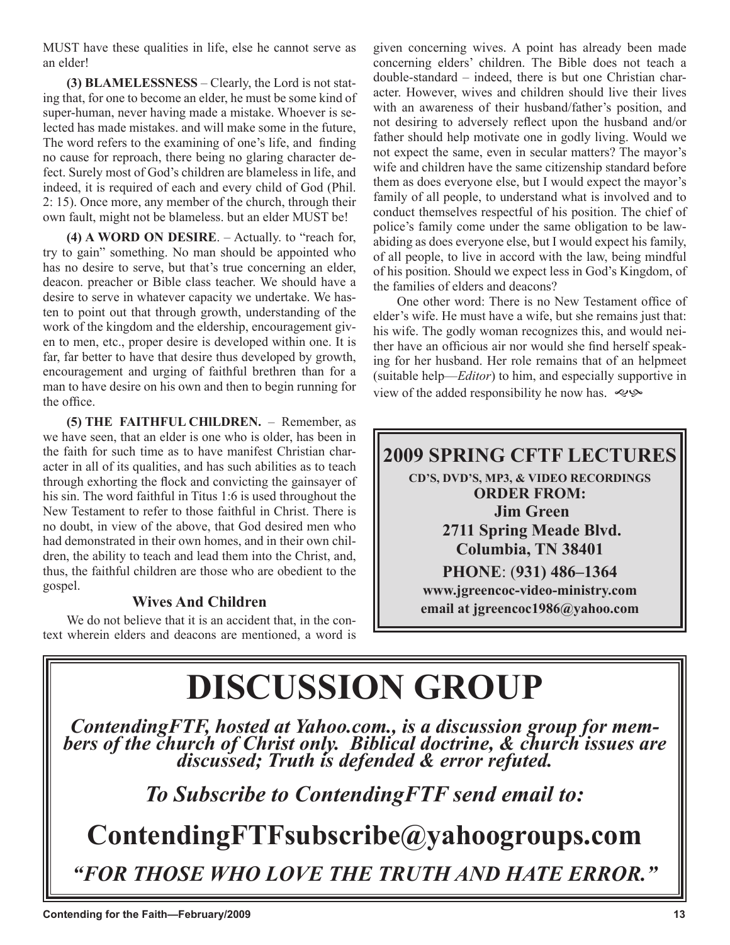MUST have these qualities in life, else he cannot serve as an elder!

**(3) BLAMELESSNESS** – Clearly, the Lord is not stating that, for one to become an elder, he must be some kind of super-human, never having made a mistake. Whoever is selected has made mistakes. and will make some in the future, The word refers to the examining of one's life, and finding no cause for reproach, there being no glaring character defect. Surely most of God's children are blameless in life, and indeed, it is required of each and every child of God (Phil. 2: 15). Once more, any member of the church, through their own fault, might not be blameless. but an elder MUST be!

**(4) A WORD ON DESIRE**. – Actually. to "reach for, try to gain" something. No man should be appointed who has no desire to serve, but that's true concerning an elder, deacon. preacher or Bible class teacher. We should have a desire to serve in whatever capacity we undertake. We hasten to point out that through growth, understanding of the work of the kingdom and the eldership, encouragement given to men, etc., proper desire is developed within one. It is far, far better to have that desire thus developed by growth, encouragement and urging of faithful brethren than for a man to have desire on his own and then to begin running for the office.

**(5) THE FAITHFUL CHlLDREN.** – Remember, as we have seen, that an elder is one who is older, has been in the faith for such time as to have manifest Christian character in all of its qualities, and has such abilities as to teach through exhorting the flock and convicting the gainsayer of his sin. The word faithful in Titus 1:6 is used throughout the New Testament to refer to those faithful in Christ. There is no doubt, in view of the above, that God desired men who had demonstrated in their own homes, and in their own children, the ability to teach and lead them into the Christ, and, thus, the faithful children are those who are obedient to the gospel.

# **Wives And Children**

We do not believe that it is an accident that, in the context wherein elders and deacons are mentioned, a word is given concerning wives. A point has already been made concerning elders' children. The Bible does not teach a double-standard – indeed, there is but one Christian character. However, wives and children should live their lives with an awareness of their husband/father's position, and not desiring to adversely reflect upon the husband and/or father should help motivate one in godly living. Would we not expect the same, even in secular matters? The mayor's wife and children have the same citizenship standard before them as does everyone else, but I would expect the mayor's family of all people, to understand what is involved and to conduct themselves respectful of his position. The chief of police's family come under the same obligation to be lawabiding as does everyone else, but I would expect his family, of all people, to live in accord with the law, being mindful of his position. Should we expect less in God's Kingdom, of the families of elders and deacons?

One other word: There is no New Testament office of elder's wife. He must have a wife, but she remains just that: his wife. The godly woman recognizes this, and would neither have an officious air nor would she find herself speaking for her husband. Her role remains that of an helpmeet (suitable help—*Editor*) to him, and especially supportive in view of the added responsibility he now has.  $\lll$ 

# **2009 SPRING CFTF LECTURES**

**CD'S, DVD'S, MP3, & VIDEO RECORDINGS ORDER FROM: Jim Green 2711 Spring Meade Blvd. Columbia, TN 38401 PHONE**: (**931) 486–1364 www.jgreencoc-video-ministry.com email at jgreencoc1986@yahoo.com**

# **DISCUSSION GROUP**

*ContendingFTF, hosted at Yahoo.com., is a discussion group for mem- bers of the church of Christ only. Biblical doctrine, & church issues are discussed; Truth is defended & error refuted.*

# *To Subscribe to ContendingFTF send email to:*

**ContendingFTFsubscribe@yahoogroups.com** *"FOR THOSE WHO LOVE THE TRUTH AND HATE ERROR."*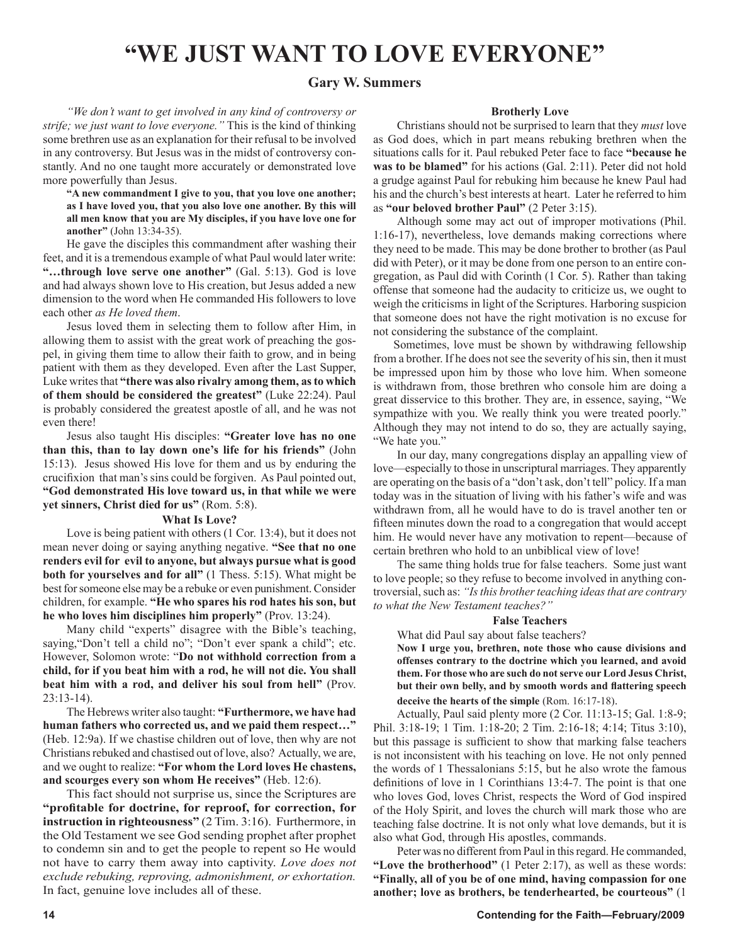# **"WE JUST WANT TO LOVE EVERYONE"**

#### **Gary W. Summers**

*"We don't want to get involved in any kind of controversy or strife; we just want to love everyone."* This is the kind of thinking some brethren use as an explanation for their refusal to be involved in any controversy. But Jesus was in the midst of controversy constantly. And no one taught more accurately or demonstrated love more powerfully than Jesus.

**"A new commandment I give to you, that you love one another; as I have loved you, that you also love one another. By this will all men know that you are My disciples, if you have love one for another"** (John 13:34-35).

He gave the disciples this commandment after washing their feet, and it is a tremendous example of what Paul would later write: **"…through love serve one another"** (Gal. 5:13). God is love and had always shown love to His creation, but Jesus added a new dimension to the word when He commanded His followers to love each other *as He loved them*.

Jesus loved them in selecting them to follow after Him, in allowing them to assist with the great work of preaching the gospel, in giving them time to allow their faith to grow, and in being patient with them as they developed. Even after the Last Supper, Luke writes that **"there was also rivalry among them, as to which of them should be considered the greatest"** (Luke 22:24). Paul is probably considered the greatest apostle of all, and he was not even there!

Jesus also taught His disciples: **"Greater love has no one than this, than to lay down one's life for his friends"** (John 15:13). Jesus showed His love for them and us by enduring the crucifixion that man's sins could be forgiven. As Paul pointed out, **"God demonstrated His love toward us, in that while we were yet sinners, Christ died for us"** (Rom. 5:8).

#### **What Is Love?**

Love is being patient with others (1 Cor. 13:4), but it does not mean never doing or saying anything negative. **"See that no one renders evil for evil to anyone, but always pursue what is good both for yourselves and for all"** (1 Thess. 5:15). What might be best for someone else may be a rebuke or even punishment. Consider children, for example. **"He who spares his rod hates his son, but he who loves him disciplines him properly"** (Prov. 13:24).

Many child "experts" disagree with the Bible's teaching, saying,"Don't tell a child no"; "Don't ever spank a child"; etc. However, Solomon wrote: "**Do not withhold correction from a child, for if you beat him with a rod, he will not die. You shall beat him with a rod, and deliver his soul from hell"** (Prov. 23:13-14).

The Hebrews writer also taught: **"Furthermore, we have had human fathers who corrected us, and we paid them respect…"** (Heb. 12:9a). If we chastise children out of love, then why are not Christians rebuked and chastised out of love, also? Actually, we are, and we ought to realize: **"For whom the Lord loves He chastens, and scourges every son whom He receives"** (Heb. 12:6).

This fact should not surprise us, since the Scriptures are **"profitable for doctrine, for reproof, for correction, for instruction in righteousness"** (2 Tim. 3:16). Furthermore, in the Old Testament we see God sending prophet after prophet to condemn sin and to get the people to repent so He would not have to carry them away into captivity. *Love does not exclude rebuking, reproving, admonishment, or exhortation.* In fact, genuine love includes all of these.

#### **Brotherly Love**

Christians should not be surprised to learn that they *must* love as God does, which in part means rebuking brethren when the situations calls for it. Paul rebuked Peter face to face **"because he was to be blamed"** for his actions (Gal. 2:11). Peter did not hold a grudge against Paul for rebuking him because he knew Paul had his and the church's best interests at heart. Later he referred to him as **"our beloved brother Paul"** (2 Peter 3:15).

Although some may act out of improper motivations (Phil. 1:16-17), nevertheless, love demands making corrections where they need to be made. This may be done brother to brother (as Paul did with Peter), or it may be done from one person to an entire congregation, as Paul did with Corinth (1 Cor. 5). Rather than taking offense that someone had the audacity to criticize us, we ought to weigh the criticisms in light of the Scriptures. Harboring suspicion that someone does not have the right motivation is no excuse for not considering the substance of the complaint.

 Sometimes, love must be shown by withdrawing fellowship from a brother. If he does not see the severity of his sin, then it must be impressed upon him by those who love him. When someone is withdrawn from, those brethren who console him are doing a great disservice to this brother. They are, in essence, saying, "We sympathize with you. We really think you were treated poorly." Although they may not intend to do so, they are actually saying, "We hate you."

In our day, many congregations display an appalling view of love—especially to those in unscriptural marriages. They apparently are operating on the basis of a "don't ask, don't tell" policy. If a man today was in the situation of living with his father's wife and was withdrawn from, all he would have to do is travel another ten or fifteen minutes down the road to a congregation that would accept him. He would never have any motivation to repent—because of certain brethren who hold to an unbiblical view of love!

The same thing holds true for false teachers. Some just want to love people; so they refuse to become involved in anything controversial, such as: *"Is this brother teaching ideas that are contrary to what the New Testament teaches?"*

#### **False Teachers**

What did Paul say about false teachers?

**Now I urge you, brethren, note those who cause divisions and offenses contrary to the doctrine which you learned, and avoid them. For those who are such do not serve our Lord Jesus Christ, but their own belly, and by smooth words and flattering speech deceive the hearts of the simple** (Rom. 16:17-18).

Actually, Paul said plenty more (2 Cor. 11:13-15; Gal. 1:8-9; Phil. 3:18-19; 1 Tim. 1:18-20; 2 Tim. 2:16-18; 4:14; Titus 3:10), but this passage is sufficient to show that marking false teachers is not inconsistent with his teaching on love. He not only penned the words of 1 Thessalonians 5:15, but he also wrote the famous definitions of love in 1 Corinthians 13:4-7. The point is that one who loves God, loves Christ, respects the Word of God inspired of the Holy Spirit, and loves the church will mark those who are teaching false doctrine. It is not only what love demands, but it is also what God, through His apostles, commands.

Peter was no different from Paul in this regard. He commanded, **"Love the brotherhood"** (1 Peter 2:17), as well as these words: **"Finally, all of you be of one mind, having compassion for one another; love as brothers, be tenderhearted, be courteous"** (1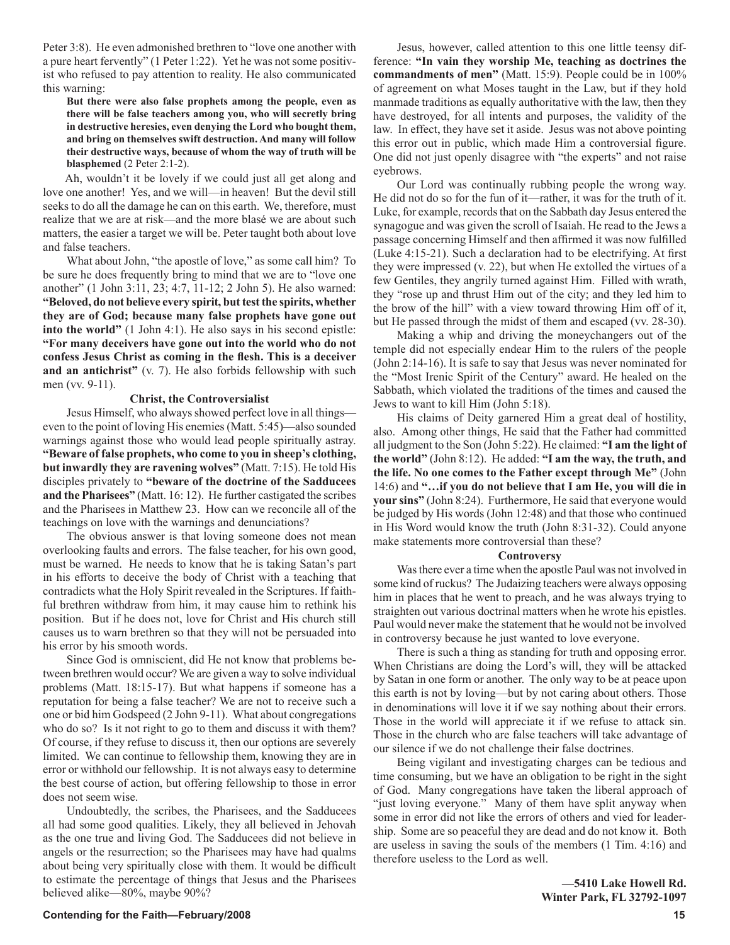Peter 3:8). He even admonished brethren to "love one another with a pure heart fervently" (1 Peter 1:22). Yet he was not some positivist who refused to pay attention to reality. He also communicated this warning:

**But there were also false prophets among the people, even as there will be false teachers among you, who will secretly bring in destructive heresies, even denying the Lord who bought them, and bring on themselves swift destruction. And many will follow their destructive ways, because of whom the way of truth will be blasphemed** (2 Peter 2:1-2).

 Ah, wouldn't it be lovely if we could just all get along and love one another! Yes, and we will—in heaven! But the devil still seeks to do all the damage he can on this earth. We, therefore, must realize that we are at risk—and the more blasé we are about such matters, the easier a target we will be. Peter taught both about love and false teachers.

What about John, "the apostle of love," as some call him? To be sure he does frequently bring to mind that we are to "love one another" (1 John 3:11, 23; 4:7, 11-12; 2 John 5). He also warned: **"Beloved, do not believe every spirit, but test the spirits, whether they are of God; because many false prophets have gone out into the world"** (1 John 4:1). He also says in his second epistle: **"For many deceivers have gone out into the world who do not confess Jesus Christ as coming in the flesh. This is a deceiver and an antichrist"** (v. 7). He also forbids fellowship with such men (vv. 9-11).

#### **Christ, the Controversialist**

Jesus Himself, who always showed perfect love in all things even to the point of loving His enemies (Matt. 5:45)—also sounded warnings against those who would lead people spiritually astray. **"Beware of false prophets, who come to you in sheep's clothing, but inwardly they are ravening wolves"** (Matt. 7:15). He told His disciples privately to **"beware of the doctrine of the Sadducees and the Pharisees"** (Matt. 16: 12). He further castigated the scribes and the Pharisees in Matthew 23. How can we reconcile all of the teachings on love with the warnings and denunciations?

The obvious answer is that loving someone does not mean overlooking faults and errors. The false teacher, for his own good, must be warned. He needs to know that he is taking Satan's part in his efforts to deceive the body of Christ with a teaching that contradicts what the Holy Spirit revealed in the Scriptures. If faithful brethren withdraw from him, it may cause him to rethink his position. But if he does not, love for Christ and His church still causes us to warn brethren so that they will not be persuaded into his error by his smooth words.

Since God is omniscient, did He not know that problems between brethren would occur? We are given a way to solve individual problems (Matt. 18:15-17). But what happens if someone has a reputation for being a false teacher? We are not to receive such a one or bid him Godspeed (2 John 9-11). What about congregations who do so? Is it not right to go to them and discuss it with them? Of course, if they refuse to discuss it, then our options are severely limited. We can continue to fellowship them, knowing they are in error or withhold our fellowship. It is not always easy to determine the best course of action, but offering fellowship to those in error does not seem wise.

Undoubtedly, the scribes, the Pharisees, and the Sadducees all had some good qualities. Likely, they all believed in Jehovah as the one true and living God. The Sadducees did not believe in angels or the resurrection; so the Pharisees may have had qualms about being very spiritually close with them. It would be difficult to estimate the percentage of things that Jesus and the Pharisees believed alike—80%, maybe 90%?

Jesus, however, called attention to this one little teensy difference: **"In vain they worship Me, teaching as doctrines the commandments of men"** (Matt. 15:9). People could be in 100% of agreement on what Moses taught in the Law, but if they hold manmade traditions as equally authoritative with the law, then they have destroyed, for all intents and purposes, the validity of the law. In effect, they have set it aside. Jesus was not above pointing this error out in public, which made Him a controversial figure. One did not just openly disagree with "the experts" and not raise eyebrows.

Our Lord was continually rubbing people the wrong way. He did not do so for the fun of it—rather, it was for the truth of it. Luke, for example, records that on the Sabbath day Jesus entered the synagogue and was given the scroll of Isaiah. He read to the Jews a passage concerning Himself and then affirmed it was now fulfilled (Luke 4:15-21). Such a declaration had to be electrifying. At first they were impressed (v. 22), but when He extolled the virtues of a few Gentiles, they angrily turned against Him. Filled with wrath, they "rose up and thrust Him out of the city; and they led him to the brow of the hill" with a view toward throwing Him off of it, but He passed through the midst of them and escaped (vv. 28-30).

Making a whip and driving the moneychangers out of the temple did not especially endear Him to the rulers of the people (John 2:14-16). It is safe to say that Jesus was never nominated for the "Most Irenic Spirit of the Century" award. He healed on the Sabbath, which violated the traditions of the times and caused the Jews to want to kill Him (John 5:18).

His claims of Deity garnered Him a great deal of hostility, also. Among other things, He said that the Father had committed all judgment to the Son (John 5:22). He claimed: **"I am the light of the world"** (John 8:12). He added: **"I am the way, the truth, and the life. No one comes to the Father except through Me"** (John 14:6) and **"…if you do not believe that I am He, you will die in your sins"** (John 8:24). Furthermore, He said that everyone would be judged by His words (John 12:48) and that those who continued in His Word would know the truth (John 8:31-32). Could anyone make statements more controversial than these?

#### **Controversy**

Was there ever a time when the apostle Paul was not involved in some kind of ruckus? The Judaizing teachers were always opposing him in places that he went to preach, and he was always trying to straighten out various doctrinal matters when he wrote his epistles. Paul would never make the statement that he would not be involved in controversy because he just wanted to love everyone.

There is such a thing as standing for truth and opposing error. When Christians are doing the Lord's will, they will be attacked by Satan in one form or another. The only way to be at peace upon this earth is not by loving—but by not caring about others. Those in denominations will love it if we say nothing about their errors. Those in the world will appreciate it if we refuse to attack sin. Those in the church who are false teachers will take advantage of our silence if we do not challenge their false doctrines.

Being vigilant and investigating charges can be tedious and time consuming, but we have an obligation to be right in the sight of God. Many congregations have taken the liberal approach of "just loving everyone." Many of them have split anyway when some in error did not like the errors of others and vied for leadership. Some are so peaceful they are dead and do not know it. Both are useless in saving the souls of the members (1 Tim. 4:16) and therefore useless to the Lord as well.

> **—5410 Lake Howell Rd. Winter Park, FL 32792-1097**